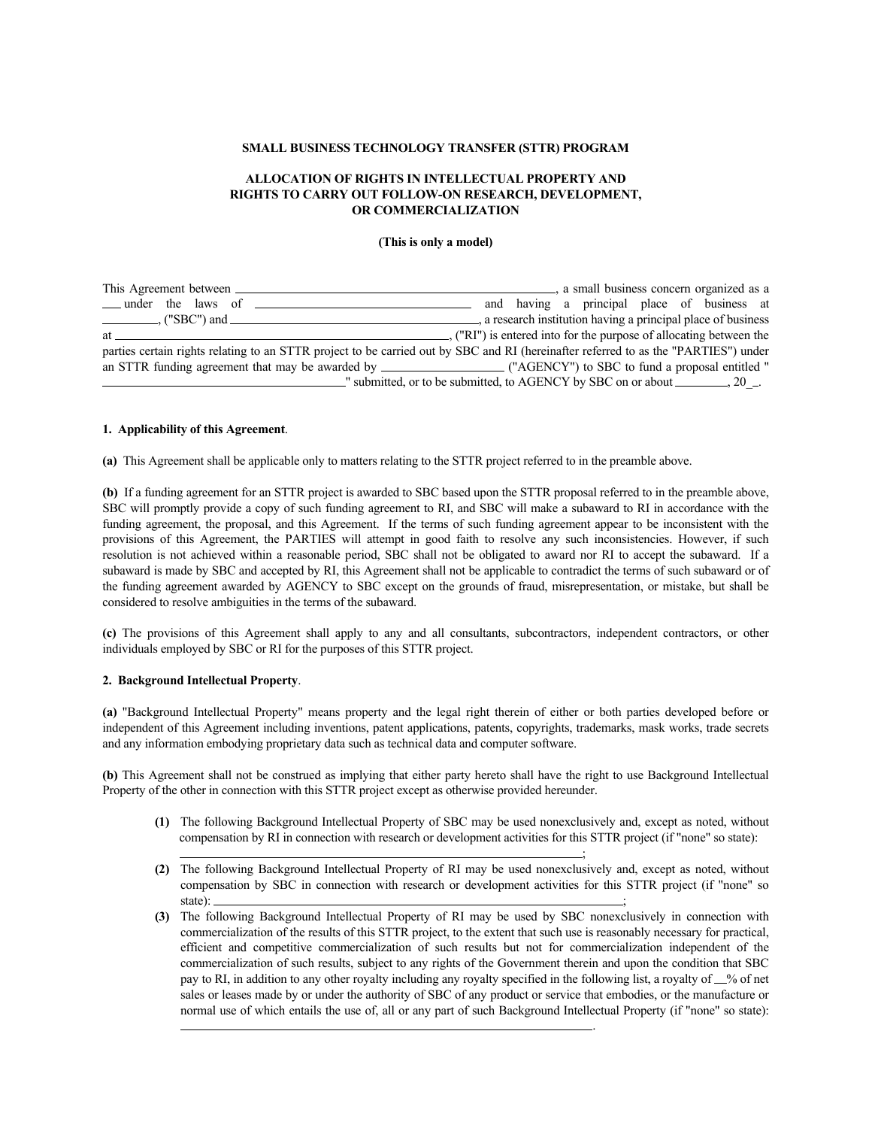#### **SMALL BUSINESS TECHNOLOGY TRANSFER (STTR) PROGRAM**

## **ALLOCATION OF RIGHTS IN INTELLECTUAL PROPERTY AND RIGHTS TO CARRY OUT FOLLOW-ON RESEARCH, DEVELOPMENT, OR COMMERCIALIZATION**

#### **(This is only a model)**

| This Agreement between                                                                                                              | a small business concern organized as a                                        |
|-------------------------------------------------------------------------------------------------------------------------------------|--------------------------------------------------------------------------------|
|                                                                                                                                     | and having a principal place of business at                                    |
| $\frac{1}{1}$ ("SBC") and $\frac{1}{1}$                                                                                             | a research institution having a principal place of business                    |
| at a                                                                                                                                | . ("RI") is entered into for the purpose of allocating between the             |
| parties certain rights relating to an STTR project to be carried out by SBC and RI (hereinafter referred to as the "PARTIES") under |                                                                                |
|                                                                                                                                     |                                                                                |
|                                                                                                                                     | -" submitted, or to be submitted, to AGENCY by SBC on or about ________, 20__. |

#### **1. Applicability of this Agreement**.

**(a)** This Agreement shall be applicable only to matters relating to the STTR project referred to in the preamble above.

**(b)** If a funding agreement for an STTR project is awarded to SBC based upon the STTR proposal referred to in the preamble above, SBC will promptly provide a copy of such funding agreement to RI, and SBC will make a subaward to RI in accordance with the funding agreement, the proposal, and this Agreement. If the terms of such funding agreement appear to be inconsistent with the provisions of this Agreement, the PARTIES will attempt in good faith to resolve any such inconsistencies. However, if such resolution is not achieved within a reasonable period, SBC shall not be obligated to award nor RI to accept the subaward. If a subaward is made by SBC and accepted by RI, this Agreement shall not be applicable to contradict the terms of such subaward or of the funding agreement awarded by AGENCY to SBC except on the grounds of fraud, misrepresentation, or mistake, but shall be considered to resolve ambiguities in the terms of the subaward.

**(c)** The provisions of this Agreement shall apply to any and all consultants, subcontractors, independent contractors, or other individuals employed by SBC or RI for the purposes of this STTR project.

## **2. Background Intellectual Property**.

**(a)** "Background Intellectual Property" means property and the legal right therein of either or both parties developed before or independent of this Agreement including inventions, patent applications, patents, copyrights, trademarks, mask works, trade secrets and any information embodying proprietary data such as technical data and computer software.

**(b)** This Agreement shall not be construed as implying that either party hereto shall have the right to use Background Intellectual Property of the other in connection with this STTR project except as otherwise provided hereunder.

;

.

- **(1)** The following Background Intellectual Property of SBC may be used nonexclusively and, except as noted, without compensation by RI in connection with research or development activities for this STTR project (if "none" so state):
- **(2)** The following Background Intellectual Property of RI may be used nonexclusively and, except as noted, without compensation by SBC in connection with research or development activities for this STTR project (if "none" so state):  $\qquad \qquad \qquad$   $\qquad \qquad$   $\qquad \qquad$   $\qquad \qquad$   $\qquad \qquad$   $\qquad \qquad$   $\qquad$   $\qquad \qquad$   $\qquad \qquad$   $\qquad$   $\qquad \qquad$   $\qquad$   $\qquad$   $\qquad$   $\qquad$   $\qquad$   $\qquad$   $\qquad$   $\qquad$   $\qquad$   $\qquad$   $\qquad$   $\qquad$   $\qquad$   $\qquad$   $\qquad$   $\qquad$   $\qquad$   $\qquad$   $\qquad$   $\q$
- **(3)** The following Background Intellectual Property of RI may be used by SBC nonexclusively in connection with commercialization of the results of this STTR project, to the extent that such use is reasonably necessary for practical, efficient and competitive commercialization of such results but not for commercialization independent of the commercialization of such results, subject to any rights of the Government therein and upon the condition that SBC pay to RI, in addition to any other royalty including any royalty specified in the following list, a royalty of  $\_\%$  of net sales or leases made by or under the authority of SBC of any product or service that embodies, or the manufacture or normal use of which entails the use of, all or any part of such Background Intellectual Property (if "none" so state):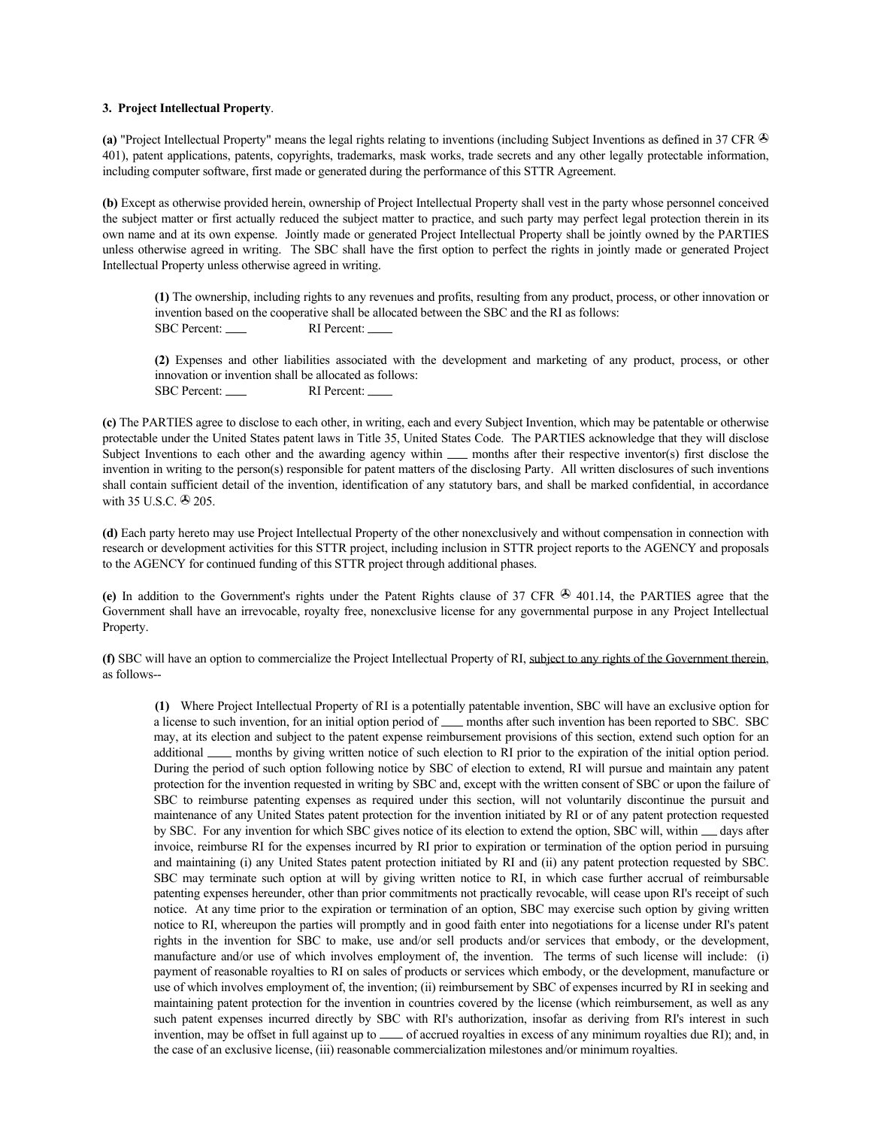#### **3. Project Intellectual Property**.

**(a)** "Project Intellectual Property" means the legal rights relating to inventions (including Subject Inventions as defined in 37 CFR 401), patent applications, patents, copyrights, trademarks, mask works, trade secrets and any other legally protectable information, including computer software, first made or generated during the performance of this STTR Agreement.

**(b)** Except as otherwise provided herein, ownership of Project Intellectual Property shall vest in the party whose personnel conceived the subject matter or first actually reduced the subject matter to practice, and such party may perfect legal protection therein in its own name and at its own expense. Jointly made or generated Project Intellectual Property shall be jointly owned by the PARTIES unless otherwise agreed in writing. The SBC shall have the first option to perfect the rights in jointly made or generated Project Intellectual Property unless otherwise agreed in writing.

 **(1)** The ownership, including rights to any revenues and profits, resulting from any product, process, or other innovation or invention based on the cooperative shall be allocated between the SBC and the RI as follows: SBC Percent: RI Percent:

 **(2)** Expenses and other liabilities associated with the development and marketing of any product, process, or other innovation or invention shall be allocated as follows:

SBC Percent: RI Percent:

**(c)** The PARTIES agree to disclose to each other, in writing, each and every Subject Invention, which may be patentable or otherwise protectable under the United States patent laws in Title 35, United States Code. The PARTIES acknowledge that they will disclose Subject Inventions to each other and the awarding agency within <u>months after their respective</u> inventor(s) first disclose the invention in writing to the person(s) responsible for patent matters of the disclosing Party. All written disclosures of such inventions shall contain sufficient detail of the invention, identification of any statutory bars, and shall be marked confidential, in accordance with 35 U.S.C.  $\otimes$  205.

**(d)** Each party hereto may use Project Intellectual Property of the other nonexclusively and without compensation in connection with research or development activities for this STTR project, including inclusion in STTR project reports to the AGENCY and proposals to the AGENCY for continued funding of this STTR project through additional phases.

(e) In addition to the Government's rights under the Patent Rights clause of  $37$  CFR  $\bigcirc$  401.14, the PARTIES agree that the Government shall have an irrevocable, royalty free, nonexclusive license for any governmental purpose in any Project Intellectual Property.

**(f)** SBC will have an option to commercialize the Project Intellectual Property of RI, subject to any rights of the Government therein, as follows--

**(1)** Where Project Intellectual Property of RI is a potentially patentable invention, SBC will have an exclusive option for a license to such invention, for an initial option period of  $\frac{1}{\sqrt{2}}$  months after such invention has been reported to SBC. SBC may, at its election and subject to the patent expense reimbursement provisions of this section, extend such option for an additional <u>months by giving written notice</u> of such election to RI prior to the expiration of the initial option period. During the period of such option following notice by SBC of election to extend, RI will pursue and maintain any patent protection for the invention requested in writing by SBC and, except with the written consent of SBC or upon the failure of SBC to reimburse patenting expenses as required under this section, will not voluntarily discontinue the pursuit and maintenance of any United States patent protection for the invention initiated by RI or of any patent protection requested by SBC. For any invention for which SBC gives notice of its election to extend the option, SBC will, within  $\_\_\_$  days after invoice, reimburse RI for the expenses incurred by RI prior to expiration or termination of the option period in pursuing and maintaining (i) any United States patent protection initiated by RI and (ii) any patent protection requested by SBC. SBC may terminate such option at will by giving written notice to RI, in which case further accrual of reimbursable patenting expenses hereunder, other than prior commitments not practically revocable, will cease upon RI's receipt of such notice. At any time prior to the expiration or termination of an option, SBC may exercise such option by giving written notice to RI, whereupon the parties will promptly and in good faith enter into negotiations for a license under RI's patent rights in the invention for SBC to make, use and/or sell products and/or services that embody, or the development, manufacture and/or use of which involves employment of, the invention. The terms of such license will include: (i) payment of reasonable royalties to RI on sales of products or services which embody, or the development, manufacture or use of which involves employment of, the invention; (ii) reimbursement by SBC of expenses incurred by RI in seeking and maintaining patent protection for the invention in countries covered by the license (which reimbursement, as well as any such patent expenses incurred directly by SBC with RI's authorization, insofar as deriving from RI's interest in such invention, may be offset in full against up to  $\frac{1}{\sqrt{2}}$  of accrued royalties in excess of any minimum royalties due RI); and, in the case of an exclusive license, (iii) reasonable commercialization milestones and/or minimum royalties.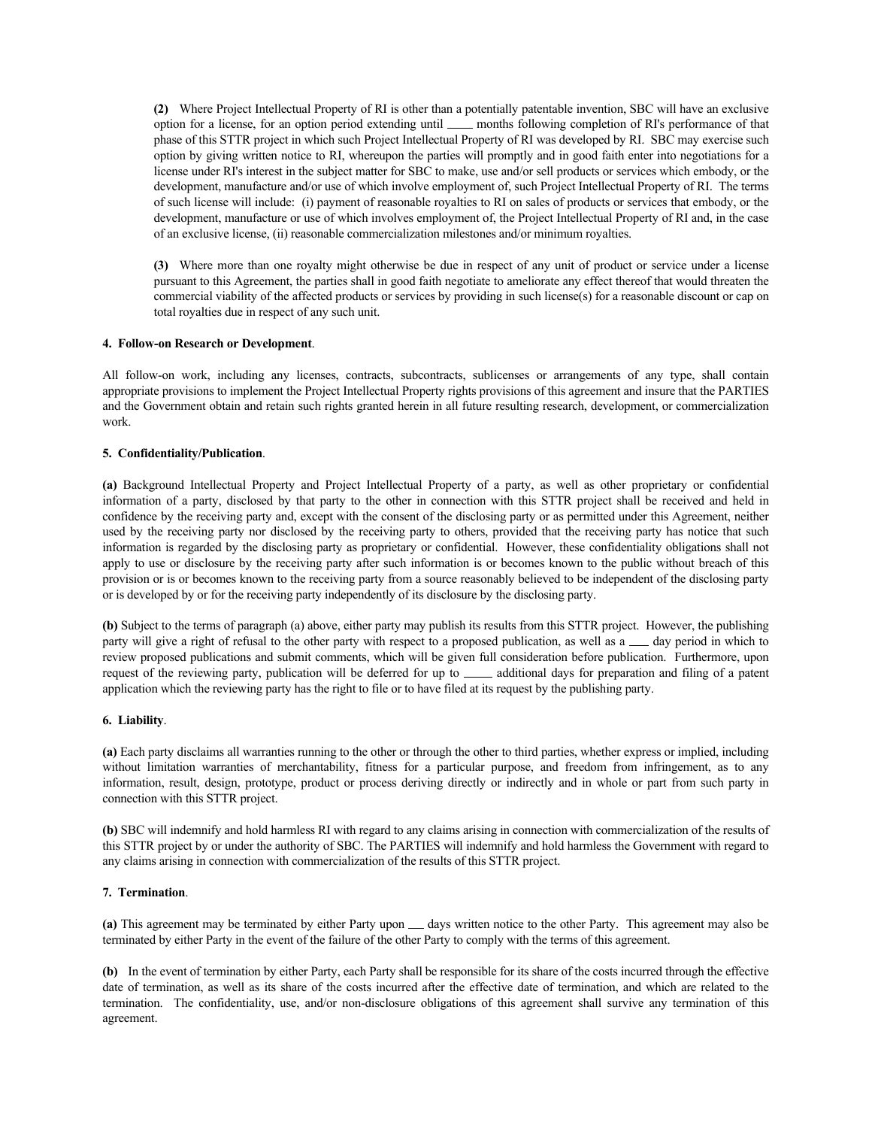**(2)** Where Project Intellectual Property of RI is other than a potentially patentable invention, SBC will have an exclusive option for a license, for an option period extending until <u>months</u> following completion of RI's performance of that phase of this STTR project in which such Project Intellectual Property of RI was developed by RI. SBC may exercise such option by giving written notice to RI, whereupon the parties will promptly and in good faith enter into negotiations for a license under RI's interest in the subject matter for SBC to make, use and/or sell products or services which embody, or the development, manufacture and/or use of which involve employment of, such Project Intellectual Property of RI. The terms of such license will include: (i) payment of reasonable royalties to RI on sales of products or services that embody, or the development, manufacture or use of which involves employment of, the Project Intellectual Property of RI and, in the case of an exclusive license, (ii) reasonable commercialization milestones and/or minimum royalties.

**(3)** Where more than one royalty might otherwise be due in respect of any unit of product or service under a license pursuant to this Agreement, the parties shall in good faith negotiate to ameliorate any effect thereof that would threaten the commercial viability of the affected products or services by providing in such license(s) for a reasonable discount or cap on total royalties due in respect of any such unit.

#### **4. Follow-on Research or Development**.

All follow-on work, including any licenses, contracts, subcontracts, sublicenses or arrangements of any type, shall contain appropriate provisions to implement the Project Intellectual Property rights provisions of this agreement and insure that the PARTIES and the Government obtain and retain such rights granted herein in all future resulting research, development, or commercialization work.

## **5. Confidentiality/Publication**.

**(a)** Background Intellectual Property and Project Intellectual Property of a party, as well as other proprietary or confidential information of a party, disclosed by that party to the other in connection with this STTR project shall be received and held in confidence by the receiving party and, except with the consent of the disclosing party or as permitted under this Agreement, neither used by the receiving party nor disclosed by the receiving party to others, provided that the receiving party has notice that such information is regarded by the disclosing party as proprietary or confidential. However, these confidentiality obligations shall not apply to use or disclosure by the receiving party after such information is or becomes known to the public without breach of this provision or is or becomes known to the receiving party from a source reasonably believed to be independent of the disclosing party or is developed by or for the receiving party independently of its disclosure by the disclosing party.

**(b)** Subject to the terms of paragraph (a) above, either party may publish its results from this STTR project. However, the publishing party will give a right of refusal to the other party with respect to a proposed publication, as well as a <sub>d</sub>ay period in which to review proposed publications and submit comments, which will be given full consideration before publication. Furthermore, upon request of the reviewing party, publication will be deferred for up to \_\_\_\_\_\_ additional days for preparation and filing of a patent application which the reviewing party has the right to file or to have filed at its request by the publishing party.

#### **6. Liability**.

**(a)** Each party disclaims all warranties running to the other or through the other to third parties, whether express or implied, including without limitation warranties of merchantability, fitness for a particular purpose, and freedom from infringement, as to any information, result, design, prototype, product or process deriving directly or indirectly and in whole or part from such party in connection with this STTR project.

**(b)** SBC will indemnify and hold harmless RI with regard to any claims arising in connection with commercialization of the results of this STTR project by or under the authority of SBC. The PARTIES will indemnify and hold harmless the Government with regard to any claims arising in connection with commercialization of the results of this STTR project.

## **7. Termination**.

(a) This agreement may be terminated by either Party upon  $\equiv$  days written notice to the other Party. This agreement may also be terminated by either Party in the event of the failure of the other Party to comply with the terms of this agreement.

**(b)** In the event of termination by either Party, each Party shall be responsible for its share of the costs incurred through the effective date of termination, as well as its share of the costs incurred after the effective date of termination, and which are related to the termination. The confidentiality, use, and/or non-disclosure obligations of this agreement shall survive any termination of this agreement.